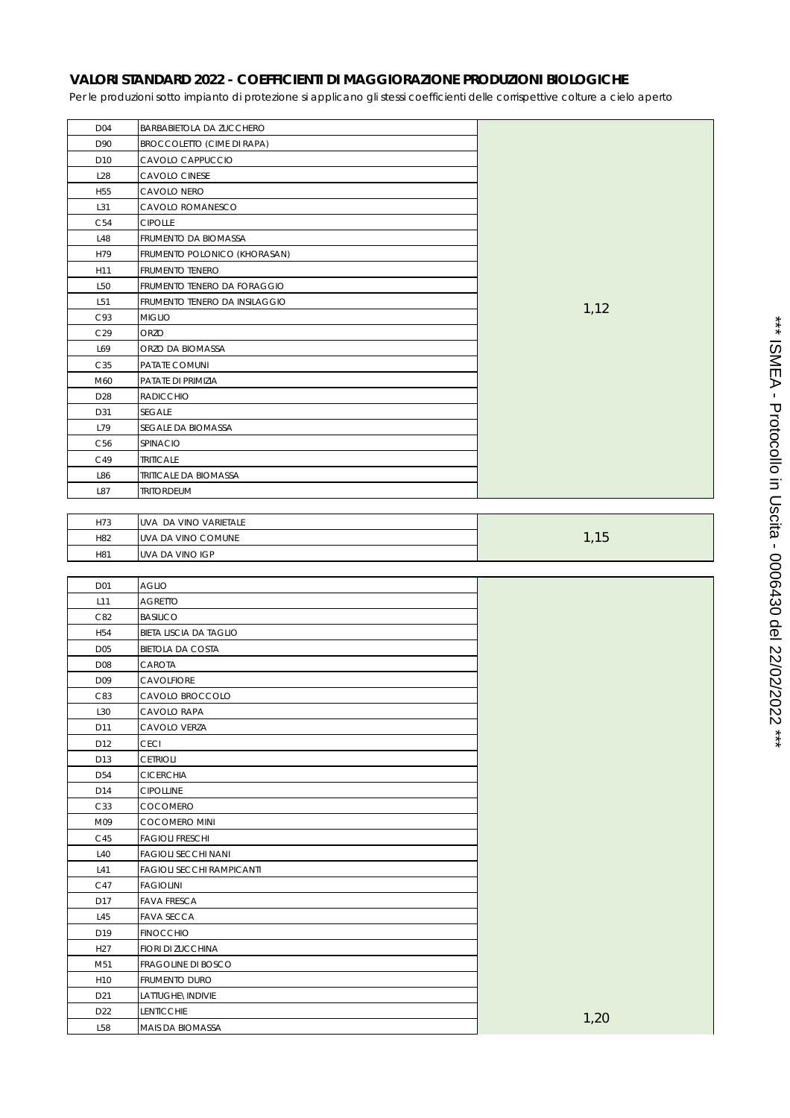## **VALORI STANDARD 2022 - COEFFICIENTI DI MAGGIORAZIONE PRODUZIONI BIOLOGICHE**

Per le produzioni sotto impianto di protezione si applicano gli stessi coefficienti delle corrispettive colture a cielo aperto

| D04             | BARBABIETOLA DA ZUCCHERO          |      |
|-----------------|-----------------------------------|------|
| D90             | <b>BROCCOLETTO (CIME DI RAPA)</b> |      |
| D10             | CAVOLO CAPPUCCIO                  |      |
| L28             | CAVOLO CINESE                     |      |
| H <sub>55</sub> | CAVOLO NERO                       |      |
| L31             | CAVOLO ROMANESCO                  |      |
| C54             | <b>CIPOLLE</b>                    |      |
| L48             | FRUMENTO DA BIOMASSA              |      |
| H79             | FRUMENTO POLONICO (KHORASAN)      |      |
| H11             | FRUMENTO TENERO                   |      |
| L50             | FRUMENTO TENERO DA FORAGGIO       |      |
| L51             | FRUMENTO TENERO DA INSILAGGIO     |      |
| C93             | <b>MIGLIO</b>                     | 1,12 |
| C29             | ORZO                              |      |
| L69             | ORZO DA BIOMASSA                  |      |
| C35             | PATATE COMUNI                     |      |
| M60             | PATATE DI PRIMIZIA                |      |
| D28             | RADICCHIO                         |      |
| D31             | <b>SEGALE</b>                     |      |
|                 |                                   |      |
| L79             | SEGALE DA BIOMASSA                |      |
| C <sub>56</sub> | SPINACIO                          |      |
| C49             | <b>TRITICALE</b>                  |      |
| L86             | <b>TRITICALE DA BIOMASSA</b>      |      |
| L87             | <b>TRITORDEUM</b>                 |      |
|                 |                                   |      |
| H73             | UVA DA VINO VARIETALE             |      |
| H82             | UVA DA VINO COMUNE                | 1,15 |
| H81             | UVA DA VINO IGP                   |      |
|                 |                                   |      |
|                 |                                   |      |
| D01             | <b>AGLIO</b>                      |      |
| L11             | <b>AGRETTO</b>                    |      |
| C82             | <b>BASILICO</b>                   |      |
| H54             | BIETA LISCIA DA TAGLIO            |      |
| D05             | <b>BIETOLA DA COSTA</b>           |      |
| D <sub>08</sub> | CAROTA                            |      |
| D09             | <b>CAVOLFIORE</b>                 |      |
| C83             | CAVOLO BROCCOLO                   |      |
| L30             | CAVOLO RAPA                       |      |
| D11             | CAVOLO VERZA                      |      |
| D12             | <b>CECI</b>                       |      |
| D13             | <b>CETRIOLI</b>                   |      |
| D54             | <b>CICERCHIA</b>                  |      |
| D14             | <b>CIPOLLINE</b>                  |      |
| C33             | COCOMERO                          |      |
| M09             | <b>COCOMERO MINI</b>              |      |
| C45             | <b>FAGIOLI FRESCHI</b>            |      |
| L40             | <b>FAGIOLI SECCHI NANI</b>        |      |
| L41             | <b>FAGIOLI SECCHI RAMPICANTI</b>  |      |
| C47             | <b>FAGIOLINI</b>                  |      |
| D17             | <b>FAVA FRESCA</b>                |      |
| L45             | <b>FAVA SECCA</b>                 |      |
| D19             | <b>FINOCCHIO</b>                  |      |
| H <sub>27</sub> | FIORI DI ZUCCHINA                 |      |
| M51             | FRAGOLINE DI BOSCO                |      |
| H10             | FRUMENTO DURO                     |      |
| D21             | LATTUGHE\INDIVIE                  |      |
| D22             | LENTICCHIE                        | 1,20 |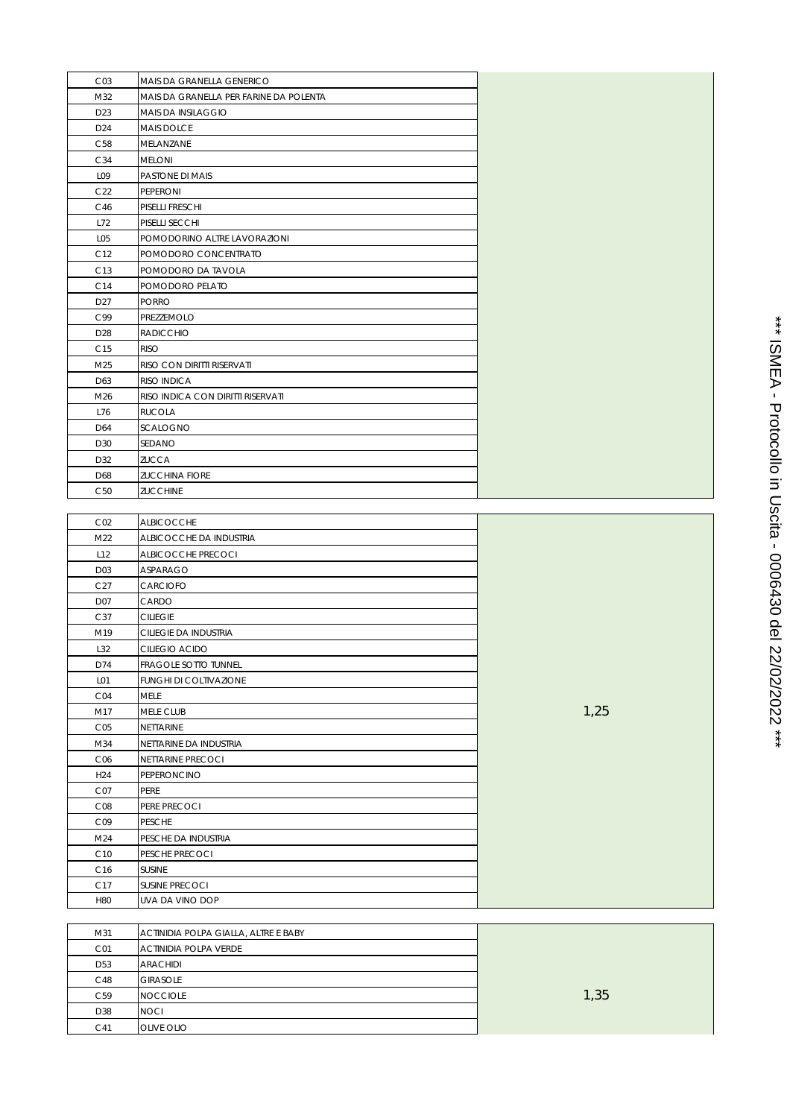| CO <sub>3</sub> | MAIS DA GRANELLA GENERICO              |  |
|-----------------|----------------------------------------|--|
| M32             | MAIS DA GRANELLA PER FARINE DA POLENTA |  |
| D23             | <b>MAIS DA INSILAGGIO</b>              |  |
| D24             | <b>MAIS DOLCE</b>                      |  |
| C58             | MELANZANE                              |  |
| C34             | <b>MELONI</b>                          |  |
| L09             | PASTONE DI MAIS                        |  |
| C <sub>22</sub> | <b>PEPERONI</b>                        |  |
| C46             | PISELLI FRESCHI                        |  |
| L72             | PISELLI SECCHI                         |  |
| L <sub>05</sub> | POMODORINO ALTRE LAVORAZIONI           |  |
| C12             | POMODORO CONCENTRATO                   |  |
| C13             | POMODORO DA TAVOLA                     |  |
| C14             | POMODORO PELATO                        |  |
| D <sub>27</sub> | <b>PORRO</b>                           |  |
| C99             | PREZZEMOLO                             |  |
| D <sub>28</sub> | <b>RADICCHIO</b>                       |  |
| C <sub>15</sub> | <b>RISO</b>                            |  |
| M25             | RISO CON DIRITTI RISERVATI             |  |
| D63             | RISO INDICA                            |  |
| M26             | RISO INDICA CON DIRITTI RISERVATI      |  |
| L76             | <b>RUCOLA</b>                          |  |
| D64             | <b>SCALOGNO</b>                        |  |
| D30             | SEDANO                                 |  |
| D32             | <b>ZUCCA</b>                           |  |
| D68             | <b>ZUCCHINA FIORE</b>                  |  |
| C <sub>50</sub> | <b>ZUCCHINE</b>                        |  |
|                 |                                        |  |
| CO <sub>2</sub> | <b>ALBICOCCHE</b>                      |  |
| M <sub>22</sub> | AI BICOCCHE DA INDUSTRIA               |  |

| <b>CUZ</b>      | <b>ALDIUUUUNE</b>             |      |
|-----------------|-------------------------------|------|
| M <sub>22</sub> | ALBICOCCHE DA INDUSTRIA       |      |
| L12             | ALBICOCCHE PRECOCI            |      |
| D03             | ASPARAGO                      |      |
| C27             | <b>CARCIOFO</b>               |      |
| D07             | CARDO                         |      |
| C37             | <b>CILIEGIE</b>               |      |
| M19             | CILIEGIE DA INDUSTRIA         |      |
| L32             | CILIEGIO ACIDO                |      |
| D74             | <b>FRAGOLE SOTTO TUNNEL</b>   |      |
| L <sub>01</sub> | <b>FUNGHI DI COLTIVAZIONE</b> |      |
| CO4             | <b>MELE</b>                   |      |
| M17             | <b>MELE CLUB</b>              | 1,25 |
| CO <sub>5</sub> | <b>NETTARINE</b>              |      |
| M34             | NETTARINE DA INDUSTRIA        |      |
| C <sub>06</sub> | <b>NETTARINE PRECOCI</b>      |      |
| H <sub>24</sub> | <b>PEPERONCINO</b>            |      |
| CO7             | <b>PERE</b>                   |      |
| CO8             | PERE PRECOCI                  |      |
| CO9             | <b>PESCHE</b>                 |      |
| M24             | PESCHE DA INDUSTRIA           |      |
| C <sub>10</sub> | PESCHE PRECOCI                |      |
| C <sub>16</sub> | <b>SUSINE</b>                 |      |
| C17             | <b>SUSINE PRECOCI</b>         |      |
| H80             | UVA DA VINO DOP               |      |

| M31             | ACTINIDIA POLPA GIALLA, ALTRE E BABY |      |
|-----------------|--------------------------------------|------|
| CO <sub>1</sub> | <b>ACTINIDIA POLPA VERDE</b>         |      |
| D <sub>53</sub> | <b>ARACHIDI</b>                      |      |
| C48             | <b>GIRASOLE</b>                      |      |
| C <sub>59</sub> | <b>NOCCIOLE</b>                      | 1,35 |
| D38             | <b>NOCI</b>                          |      |
| C <sub>41</sub> | <b>OLIVE OLIO</b>                    |      |